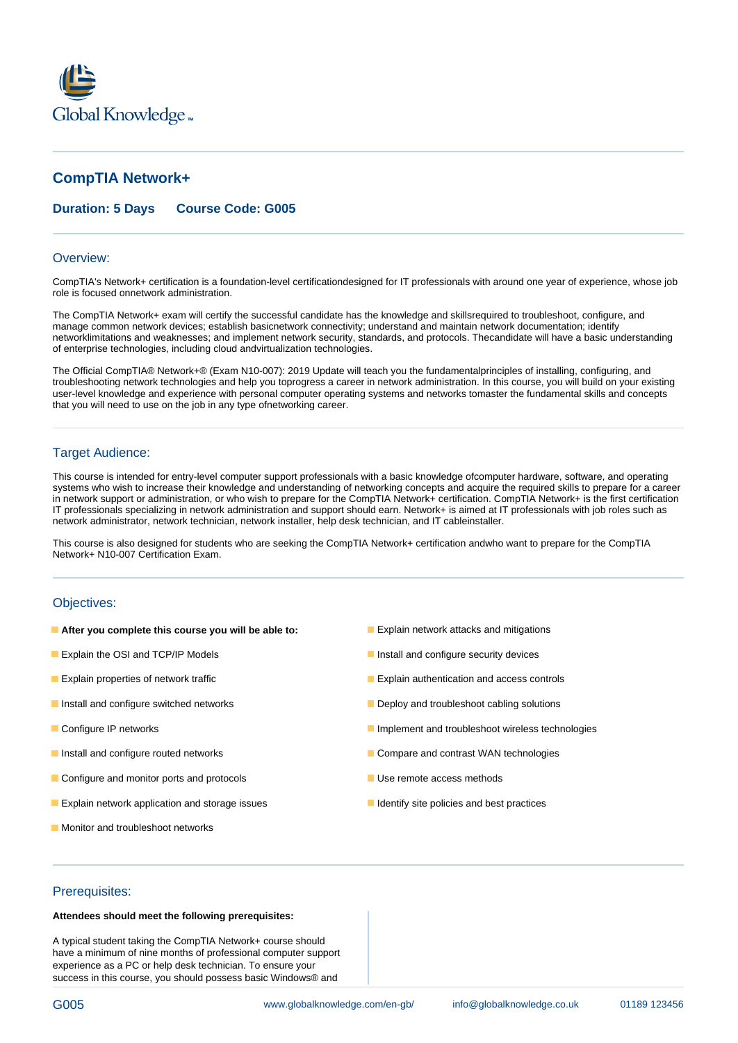

# **CompTIA Network+**

# **Duration: 5 Days Course Code: G005**

#### Overview:

CompTIA's Network+ certification is a foundation-level certificationdesigned for IT professionals with around one year of experience, whose job role is focused onnetwork administration.

The CompTIA Network+ exam will certify the successful candidate has the knowledge and skillsrequired to troubleshoot, configure, and manage common network devices; establish basicnetwork connectivity; understand and maintain network documentation; identify networklimitations and weaknesses; and implement network security, standards, and protocols. Thecandidate will have a basic understanding of enterprise technologies, including cloud andvirtualization technologies.

The Official CompTIA® Network+® (Exam N10-007): 2019 Update will teach you the fundamentalprinciples of installing, configuring, and troubleshooting network technologies and help you toprogress a career in network administration. In this course, you will build on your existing user-level knowledge and experience with personal computer operating systems and networks tomaster the fundamental skills and concepts that you will need to use on the job in any type ofnetworking career.

### Target Audience:

This course is intended for entry-level computer support professionals with a basic knowledge ofcomputer hardware, software, and operating systems who wish to increase their knowledge and understanding of networking concepts and acquire the required skills to prepare for a career in network support or administration, or who wish to prepare for the CompTIA Network+ certification. CompTIA Network+ is the first certification IT professionals specializing in network administration and support should earn. Network+ is aimed at IT professionals with job roles such as network administrator, network technician, network installer, help desk technician, and IT cableinstaller.

This course is also designed for students who are seeking the CompTIA Network+ certification andwho want to prepare for the CompTIA Network+ N10-007 Certification Exam.

#### Objectives:

- **After you complete this course you will be able to: Explain network attacks and mitigations**
- **Explain the OSI and TCP/IP Models Install and configure security devices**
- 
- 
- 
- 
- **Configure and monitor ports and protocols** Use remote access methods
- **Explain network application and storage issues Integral of the Integral dentify site policies and best practices**
- **Monitor and troubleshoot networks**
- 
- 
- **Explain properties of network traffic** Explain authentication and access controls
- **Install and configure switched networks Deploy and troubleshoot cabling solutions**
- **Configure IP networks Implement and troubleshoot wireless technologies**
- Install and configure routed networks Compare and contrast WAN technologies
	-
	-

## Prerequisites:

## **Attendees should meet the following prerequisites:**

A typical student taking the CompTIA Network+ course should have a minimum of nine months of professional computer support experience as a PC or help desk technician. To ensure your success in this course, you should possess basic Windows® and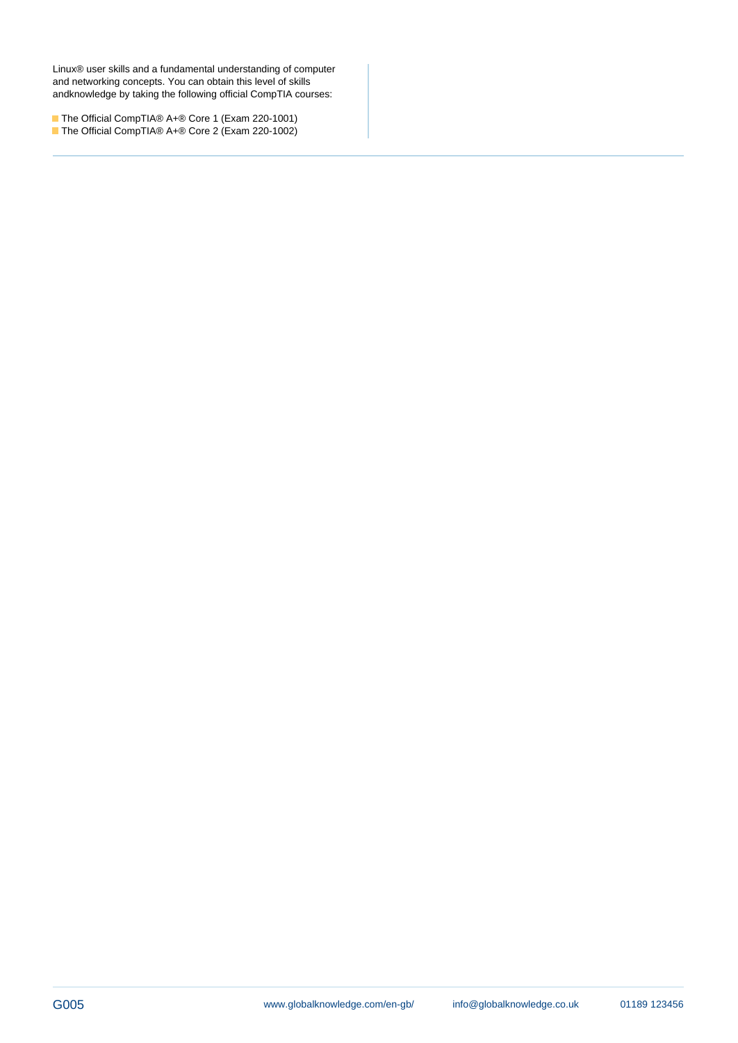Linux® user skills and a fundamental understanding of computer and networking concepts. You can obtain this level of skills andknowledge by taking the following official CompTIA courses:

The Official CompTIA® A+® Core 1 (Exam 220-1001) The Official CompTIA® A+® Core 2 (Exam 220-1002)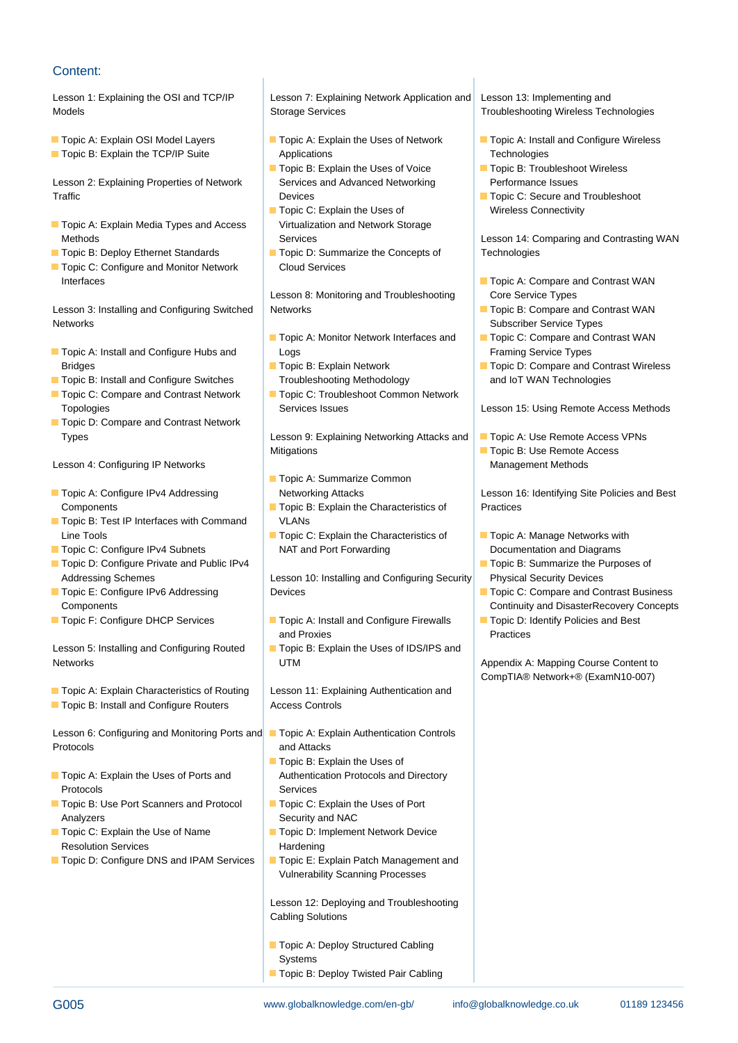# Content:

- 
- 

Lesson 2: Explaining Properties of Network Services and Advanced Networking Performance Issues Traffic Traffic Devices Devices Devices Devices Devices Devices Devices Devices Devices Devices Devices Devices

- Topic A: Explain Media Types and Access | Virtualization and Network Storage
- 
- Topic C: Configure and Monitor Network Cloud Services Interfaces **Topic A: Compare and Contrast WAN**

Lesson 3: Installing and Configuring Switched Networks Topic B: Compare and Contrast WAN **Networks Subscriber Service Types line Subscriber Service Types Subscriber Service Types** 

- **The Topic A: Install and Configure Hubs and Logs Framing Service Types** Framing Service Types
- Topic B: Install and Configure Switches Troubleshooting Methodology and IoT WAN Technologies
- 
- **Topic D: Compare and Contrast Network**

Lesson 4: Configuring IP Networks and Management Methods and Management Methods and Management Methods

- 
- Topic B: Test IP Interfaces with Command | VLANs Line Tools Topic C: Explain the Characteristics of Topic A: Manage Networks with
- 
- Topic D: Configure Private and Public IPv4 Topic B: Summarize the Purposes of
- 
- 

Lesson 5: Installing and Configuring Routed **Topic B: Explain the Uses of IDS/IPS and** Networks **Networks Example 2.1 TM** Appendix A: Mapping Course Content to

**T** Topic A: Explain Characteristics of Routing Lesson 11: Explaining Authentication and

■ Topic B: Install and Configure Routers | Access Controls

Lesson 6: Configuring and Monitoring Ports and Topic A: Explain Authentication Controls Protocols and Attacks

- Topic A: Explain the Uses of Ports and Authentication Protocols and Directory Protocols Services
- Topic B: Use Port Scanners and Protocol Topic C: Explain the Uses of Port Analyzers Security and NAC
- Resolution Services **Hardening** Hardening
- Topic D: Configure DNS and IPAM Services |■ Topic E: Explain Patch Management and

Lesson 1: Explaining the OSI and TCP/IP Lesson 7: Explaining Network Application and Lesson 13: Implementing and Models **Storage Services** Troubleshooting Wireless Technologies **Troubleshooting Wireless Technologies** 

**The TCP/IP Suite Applications Technologies** Technologies Applications Technologies

line line line

- Topic B: Explain the Uses of Voice Topic B: Troubleshoot Wireless
- Topic C: Explain the Uses of Wireless Connectivity
- Topic B: Deploy Ethernet Standards Topic D: Summarize the Concepts of Technologies

Lesson 8: Monitoring and Troubleshooting Core Service Types

- **T** Topic A: Monitor Network Interfaces and Topic C: Compare and Contrast WAN
- 
- Topic C: Compare and Contrast Network Topic C: Troubleshoot Common Network

Types **Lesson 9: Explaining Networking Attacks and Topic A: Use Remote Access VPNs** Mitigations **The Internal Studies of Topic B: Use Remote Access** 

- **lin** Topic A: Summarize Common
- Components **Topic B: Explain the Characteristics of Practices**
- Topic C: Configure IPv4 Subnets NAT and Port Forwarding National Documentation and Diagrams

Addressing Schemes Lesson 10: Installing and Configuring Security Physical Security Devices ■ Topic E: Configure IPv6 Addressing Devices Topic C: Compare and Contrast Business

- Topic F: Configure DHCP Services Topic A: Install and Configure Firewalls Topic D: Identify Policies and Best and Proxies **Practices Practices** 
	-

- 
- $\blacksquare$  Topic B: Explain the Uses of
- 
- Topic C: Explain the Use of Name **Topic D: Implement Network Device** 
	- Vulnerability Scanning Processes

Lesson 12: Deploying and Troubleshooting Cabling Solutions

- Topic A: Deploy Structured Cabling **Systems**
- Topic B: Deploy Twisted Pair Cabling

- Topic A: Explain OSI Model Layers **Topic A: Explain the Uses of Network Topic A: Install and Configure Wireless** 
	-
	-

Methods **Services** Services **Services** Lesson 14: Comparing and Contrasting WAN

- 
- 
- 
- Bridges Topic B: Explain Network Topic D: Compare and Contrast Wireless

Topologies **Services Issues** Services Issues **Lesson 15: Using Remote Access Methods** Companies

■ Topic A: Configure IPv4 Addressing Networking Attacks Lesson 16: Identifying Site Policies and Best

- 
- 
- Components **line Continuity and DisasterRecovery Concepts** Continuity and DisasterRecovery Concepts
	-

CompTIA® Network+® (ExamN10-007)